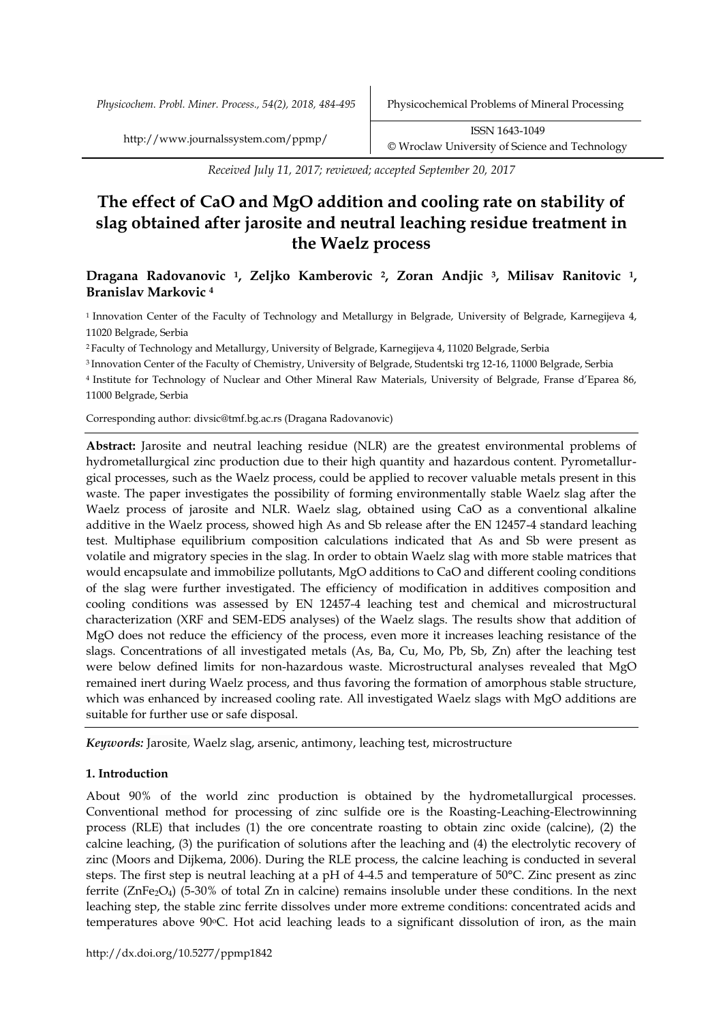*Physicochem. Probl. Miner. Process., 54(2), 2018, 484-495* Physicochemical Problems of Mineral Processing

*Received July 11, 2017; reviewed; accepted September 20, 2017*

# **The effect of CaO and MgO addition and cooling rate on stability of slag obtained after jarosite and neutral leaching residue treatment in the Waelz process**

# **Dragana Radovanovic <sup>1</sup>, Zeljko Kamberovic <sup>2</sup>, Zoran Andjic <sup>3</sup>, Milisav Ranitovic <sup>1</sup>, Branislav Markovic <sup>4</sup>**

<sup>1</sup>Innovation Center of the Faculty of Technology and Metallurgy in Belgrade, University of Belgrade, Karnegijeva 4, 11020 Belgrade, Serbia

<sup>2</sup>Faculty of Technology and Metallurgy, University of Belgrade, Karnegijeva 4, 11020 Belgrade, Serbia

<sup>3</sup>Innovation Center of the Faculty of Chemistry, University of Belgrade, Studentski trg 12-16, 11000 Belgrade, Serbia

<sup>4</sup>Institute for Technology of Nuclear and Other Mineral Raw Materials, University of Belgrade, Franse d'Eparea 86, 11000 Belgrade, Serbia

Corresponding author: divsic@tmf.bg.ac.rs (Dragana Radovanovic)

**Abstract:** Jarosite and neutral leaching residue (NLR) are the greatest environmental problems of hydrometallurgical zinc production due to their high quantity and hazardous content. Pyrometallurgical processes, such as the Waelz process, could be applied to recover valuable metals present in this waste. The paper investigates the possibility of forming environmentally stable Waelz slag after the Waelz process of jarosite and NLR. Waelz slag, obtained using CaO as a conventional alkaline additive in the Waelz process, showed high As and Sb release after the EN 12457-4 standard leaching test. Multiphase equilibrium composition calculations indicated that As and Sb were present as volatile and migratory species in the slag. In order to obtain Waelz slag with more stable matrices that would encapsulate and immobilize pollutants, MgO additions to CaO and different cooling conditions of the slag were further investigated. The efficiency of modification in additives composition and cooling conditions was assessed by EN 12457-4 leaching test and chemical and microstructural characterization (XRF and SEM-EDS analyses) of the Waelz slags. The results show that addition of MgO does not reduce the efficiency of the process, even more it increases leaching resistance of the slags. Concentrations of all investigated metals (As, Ba, Cu, Mo, Pb, Sb, Zn) after the leaching test were below defined limits for non-hazardous waste. Microstructural analyses revealed that MgO remained inert during Waelz process, and thus favoring the formation of amorphous stable structure, which was enhanced by increased cooling rate. All investigated Waelz slags with MgO additions are suitable for further use or safe disposal.

*Keywords:* Jarosite, Waelz slag, arsenic, antimony, leaching test, microstructure

## **1. Introduction**

About 90% of the world zinc production is obtained by the hydrometallurgical processes. Conventional method for processing of zinc sulfide ore is the Roasting-Leaching-Electrowinning process (RLE) that includes (1) the ore concentrate roasting to obtain zinc oxide (calcine), (2) the calcine leaching, (3) the purification of solutions after the leaching and (4) the electrolytic recovery of zinc (Moors and Dijkema, 2006). During the RLE process, the calcine leaching is conducted in several steps. The first step is neutral leaching at a pH of 4-4.5 and temperature of 50°C. Zinc present as zinc ferrite (ZnFe<sub>2</sub>O<sub>4</sub>) (5-30% of total Zn in calcine) remains insoluble under these conditions. In the next leaching step, the stable zinc ferrite dissolves under more extreme conditions: concentrated acids and temperatures above 90oC. Hot acid leaching leads to a significant dissolution of iron, as the main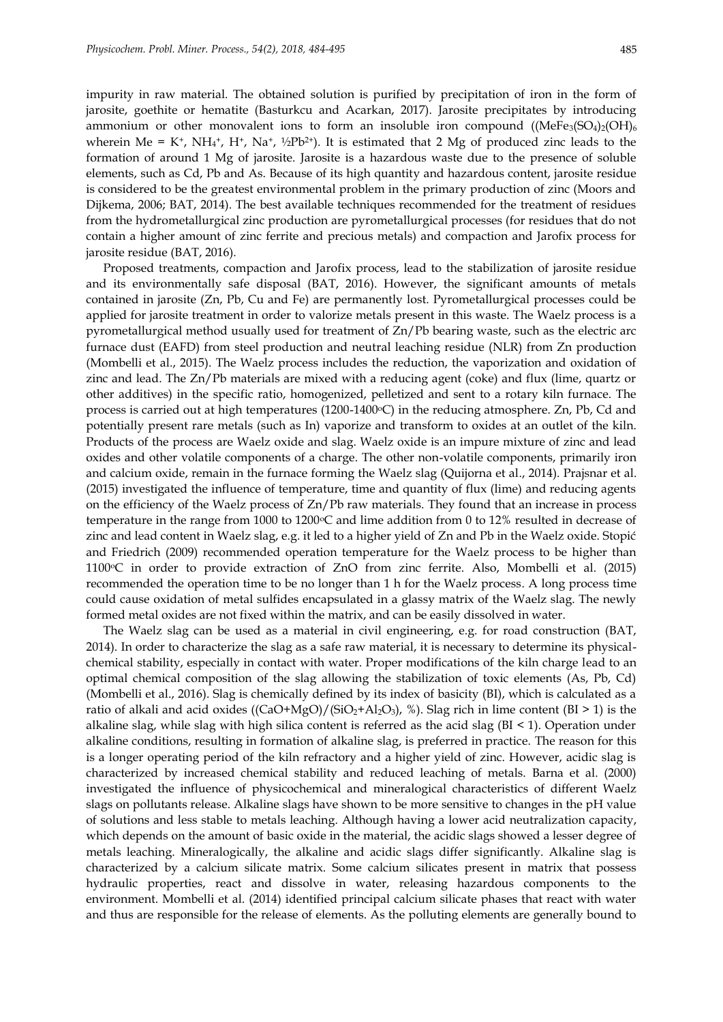impurity in raw material. The obtained solution is purified by precipitation of iron in the form of jarosite, goethite or hematite (Basturkcu and Acarkan, 2017). Jarosite precipitates by introducing ammonium or other monovalent ions to form an insoluble iron compound  $((MeFe<sub>3</sub>(SO<sub>4</sub>)<sub>2</sub>(OH)<sub>6</sub>)$ wherein Me =  $K^+$ ,  $NH_4^+$ ,  $H^+$ ,  $Na^+$ ,  $^{1/2}Pb^{2+}$ ). It is estimated that 2 Mg of produced zinc leads to the formation of around 1 Mg of jarosite. Jarosite is a hazardous waste due to the presence of soluble elements, such as Cd, Pb and As. Because of its high quantity and hazardous content, jarosite residue is considered to be the greatest environmental problem in the primary production of zinc (Moors and Dijkema, 2006; BAT, 2014). The best available techniques recommended for the treatment of residues from the hydrometallurgical zinc production are pyrometallurgical processes (for residues that do not contain a higher amount of zinc ferrite and precious metals) and compaction and Jarofix process for jarosite residue (BAT, 2016).

Proposed treatments, compaction and Jarofix process, lead to the stabilization of jarosite residue and its environmentally safe disposal (BAT, 2016). However, the significant amounts of metals contained in jarosite (Zn, Pb, Cu and Fe) are permanently lost. Pyrometallurgical processes could be applied for jarosite treatment in order to valorize metals present in this waste. The Waelz process is a pyrometallurgical method usually used for treatment of Zn/Pb bearing waste, such as the electric arc furnace dust (EAFD) from steel production and neutral leaching residue (NLR) from Zn production (Mombelli et al., 2015). The Waelz process includes the reduction, the vaporization and oxidation of zinc and lead. The Zn/Pb materials are mixed with a reducing agent (coke) and flux (lime, quartz or other additives) in the specific ratio, homogenized, pelletized and sent to a rotary kiln furnace. The process is carried out at high temperatures ( $1200-1400\text{°C}$ ) in the reducing atmosphere. Zn, Pb, Cd and potentially present rare metals (such as In) vaporize and transform to oxides at an outlet of the kiln. Products of the process are Waelz oxide and slag. Waelz oxide is an impure mixture of zinc and lead oxides and other volatile components of a charge. The other non-volatile components, primarily iron and calcium oxide, remain in the furnace forming the Waelz slag (Quijorna et al., 2014). Prajsnar et al. (2015) investigated the influence of temperature, time and quantity of flux (lime) and reducing agents on the efficiency of the Waelz process of Zn/Pb raw materials. They found that an increase in process temperature in the range from 1000 to 1200 $\degree$ C and lime addition from 0 to 12% resulted in decrease of zinc and lead content in Waelz slag, e.g. it led to a higher yield of Zn and Pb in the Waelz oxide. Stopić and Friedrich (2009) recommended operation temperature for the Waelz process to be higher than 1100<sup>o</sup>C in order to provide extraction of ZnO from zinc ferrite. Also, Mombelli et al. (2015) recommended the operation time to be no longer than 1 h for the Waelz process. A long process time could cause oxidation of metal sulfides encapsulated in a glassy matrix of the Waelz slag. The newly formed metal oxides are not fixed within the matrix, and can be easily dissolved in water.

The Waelz slag can be used as a material in civil engineering, e.g. for road construction (BAT, 2014). In order to characterize the slag as a safe raw material, it is necessary to determine its physicalchemical stability, especially in contact with water. Proper modifications of the kiln charge lead to an optimal chemical composition of the slag allowing the stabilization of toxic elements (As, Pb, Cd) (Mombelli et al., 2016). Slag is chemically defined by its index of basicity (BI), which is calculated as a ratio of alkali and acid oxides  $((CaO+MgO)/(SiO<sub>2</sub>+Al<sub>2</sub>O<sub>3</sub>), %$ ). Slag rich in lime content (BI > 1) is the alkaline slag, while slag with high silica content is referred as the acid slag ( $BI < 1$ ). Operation under alkaline conditions, resulting in formation of alkaline slag, is preferred in practice. The reason for this is a longer operating period of the kiln refractory and a higher yield of zinc. However, acidic slag is characterized by increased chemical stability and reduced leaching of metals. Barna et al. (2000) investigated the influence of physicochemical and mineralogical characteristics of different Waelz slags on pollutants release. Alkaline slags have shown to be more sensitive to changes in the pH value of solutions and less stable to metals leaching. Although having a lower acid neutralization capacity, which depends on the amount of basic oxide in the material, the acidic slags showed a lesser degree of metals leaching. Mineralogically, the alkaline and acidic slags differ significantly. Alkaline slag is characterized by a calcium silicate matrix. Some calcium silicates present in matrix that possess hydraulic properties, react and dissolve in water, releasing hazardous components to the environment. Mombelli et al. (2014) identified principal calcium silicate phases that react with water and thus are responsible for the release of elements. As the polluting elements are generally bound to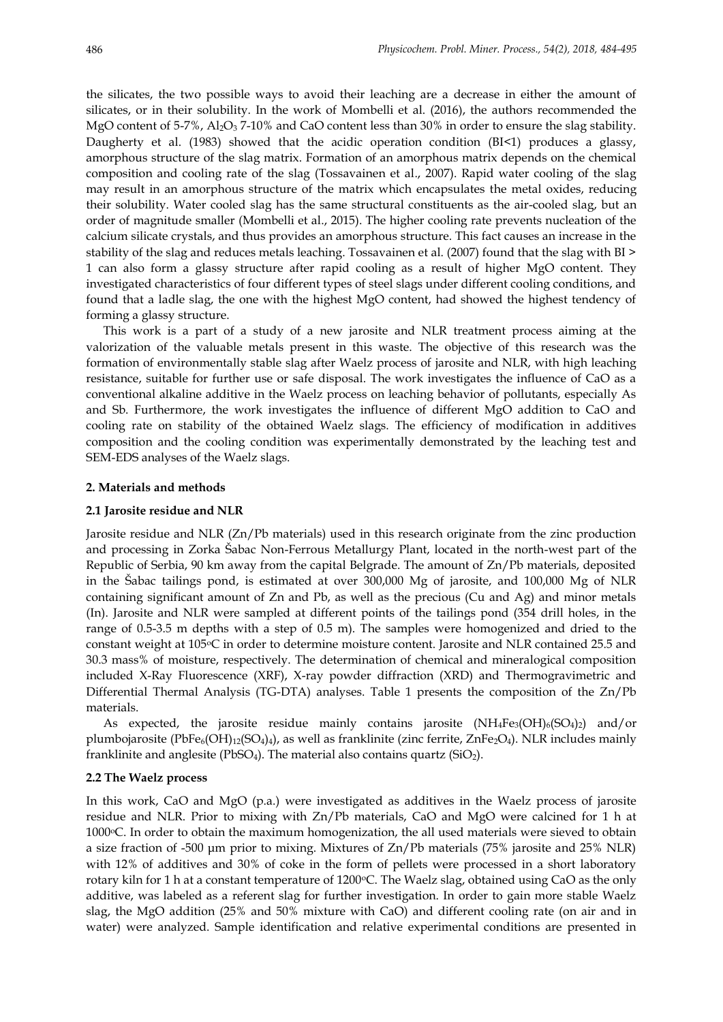the silicates, the two possible ways to avoid their leaching are a decrease in either the amount of silicates, or in their solubility. In the work of Mombelli et al. (2016), the authors recommended the MgO content of 5-7%, Al<sub>2</sub>O<sub>3</sub> 7-10% and CaO content less than 30% in order to ensure the slag stability. Daugherty et al. (1983) showed that the acidic operation condition (BI<1) produces a glassy, amorphous structure of the slag matrix. Formation of an amorphous matrix depends on the chemical composition and cooling rate of the slag (Tossavainen et al., 2007). Rapid water cooling of the slag may result in an amorphous structure of the matrix which encapsulates the metal oxides, reducing their solubility. Water cooled slag has the same structural constituents as the air-cooled slag, but an order of magnitude smaller (Mombelli et al., 2015). The higher cooling rate prevents nucleation of the calcium silicate crystals, and thus provides an amorphous structure. This fact causes an increase in the stability of the slag and reduces metals leaching. Tossavainen et al. (2007) found that the slag with BI > 1 can also form a glassy structure after rapid cooling as a result of higher MgO content. They investigated characteristics of four different types of steel slags under different cooling conditions, and found that a ladle slag, the one with the highest MgO content, had showed the highest tendency of forming a glassy structure.

This work is a part of a study of a new jarosite and NLR treatment process aiming at the valorization of the valuable metals present in this waste. The objective of this research was the formation of environmentally stable slag after Waelz process of jarosite and NLR, with high leaching resistance, suitable for further use or safe disposal. The work investigates the influence of CaO as a conventional alkaline additive in the Waelz process on leaching behavior of pollutants, especially As and Sb. Furthermore, the work investigates the influence of different MgO addition to CaO and cooling rate on stability of the obtained Waelz slags. The efficiency of modification in additives composition and the cooling condition was experimentally demonstrated by the leaching test and SEM-EDS analyses of the Waelz slags.

#### **2. Materials and methods**

#### **2.1 Jarosite residue and NLR**

Jarosite residue and NLR (Zn/Pb materials) used in this research originate from the zinc production and processing in Zorka Šabac Non-Ferrous Metallurgy Plant, located in the north-west part of the Republic of Serbia, 90 km away from the capital Belgrade. The amount of Zn/Pb materials, deposited in the Šabac tailings pond, is estimated at over 300,000 Mg of jarosite, and 100,000 Mg of NLR containing significant amount of Zn and Pb, as well as the precious (Cu and Ag) and minor metals (In). Jarosite and NLR were sampled at different points of the tailings pond (354 drill holes, in the range of 0.5-3.5 m depths with a step of 0.5 m). The samples were homogenized and dried to the constant weight at 105°C in order to determine moisture content. Jarosite and NLR contained 25.5 and 30.3 mass% of moisture, respectively. The determination of chemical and mineralogical composition included X-Ray Fluorescence (XRF), X-ray powder diffraction (XRD) and Thermogravimetric and Differential Thermal Analysis (TG-DTA) analyses. Table 1 presents the composition of the Zn/Pb materials.

As expected, the jarosite residue mainly contains jarosite  $(NH_4Fe_3(OH)_6(SO_4)_2)$  and/or plumbojarosite (PbFe<sub>6</sub>(OH)<sub>12</sub>(SO<sub>4</sub>)<sub>4</sub>), as well as franklinite (zinc ferrite, ZnFe<sub>2</sub>O<sub>4</sub>). NLR includes mainly franklinite and anglesite (PbSO<sub>4</sub>). The material also contains quartz (SiO<sub>2</sub>).

#### **2.2 The Waelz process**

In this work, CaO and MgO (p.a.) were investigated as additives in the Waelz process of jarosite residue and NLR. Prior to mixing with Zn/Pb materials, CaO and MgO were calcined for 1 h at 1000°C. In order to obtain the maximum homogenization, the all used materials were sieved to obtain a size fraction of -500 μm prior to mixing. Mixtures of Zn/Pb materials (75% jarosite and 25% NLR) with 12% of additives and 30% of coke in the form of pellets were processed in a short laboratory rotary kiln for 1 h at a constant temperature of 1200 °C. The Waelz slag, obtained using CaO as the only additive, was labeled as a referent slag for further investigation. In order to gain more stable Waelz slag, the MgO addition (25% and 50% mixture with CaO) and different cooling rate (on air and in water) were analyzed. Sample identification and relative experimental conditions are presented in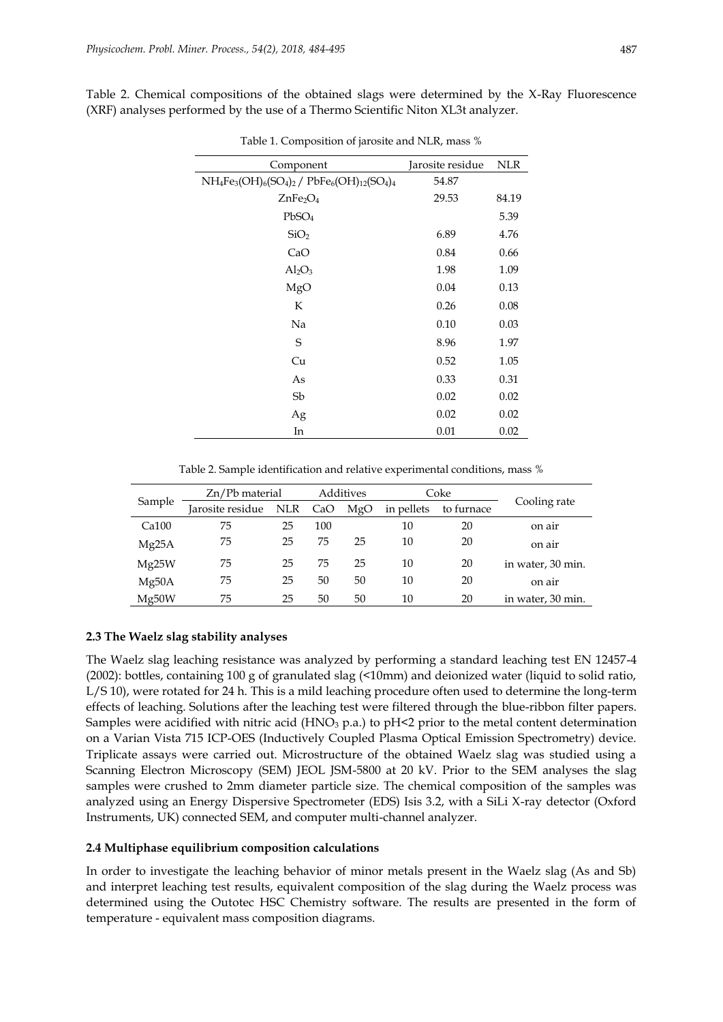Table 2. Chemical compositions of the obtained slags were determined by the X-Ray Fluorescence (XRF) analyses performed by the use of a Thermo Scientific Niton XL3t analyzer.

| has result of the correct that is a sensor to the correct of the correct of the correct of the correct of the c |                  |            |  |  |  |  |  |  |
|-----------------------------------------------------------------------------------------------------------------|------------------|------------|--|--|--|--|--|--|
| Component                                                                                                       | Jarosite residue | <b>NLR</b> |  |  |  |  |  |  |
| $NH_4Fe_3(OH)_6(SO_4)_2$ / $PbFe_6(OH)_{12}(SO_4)_4$                                                            | 54.87            |            |  |  |  |  |  |  |
| ZnFe <sub>2</sub> O <sub>4</sub>                                                                                | 29.53            | 84.19      |  |  |  |  |  |  |
| PbSO <sub>4</sub>                                                                                               |                  | 5.39       |  |  |  |  |  |  |
| SiO <sub>2</sub>                                                                                                | 6.89             | 4.76       |  |  |  |  |  |  |
| CaO                                                                                                             | 0.84             | 0.66       |  |  |  |  |  |  |
| $Al_2O_3$                                                                                                       | 1.98             | 1.09       |  |  |  |  |  |  |
| MgO                                                                                                             | 0.04             | 0.13       |  |  |  |  |  |  |
| К                                                                                                               | 0.26             | 0.08       |  |  |  |  |  |  |
| Na                                                                                                              | 0.10             | 0.03       |  |  |  |  |  |  |
| $\mathbf S$                                                                                                     | 8.96             | 1.97       |  |  |  |  |  |  |
| Cu                                                                                                              | 0.52             | 1.05       |  |  |  |  |  |  |
| As                                                                                                              | 0.33             | 0.31       |  |  |  |  |  |  |
| Sb                                                                                                              | 0.02             | 0.02       |  |  |  |  |  |  |
| Ag                                                                                                              | 0.02             | 0.02       |  |  |  |  |  |  |
| In                                                                                                              | 0.01             | 0.02       |  |  |  |  |  |  |

Table 1. Composition of jarosite and NLR, mass %

Table 2. Sample identification and relative experimental conditions, mass %

|                   | $Zn$ /Pb material | Additives  |     |     | Coke       |            |                   |
|-------------------|-------------------|------------|-----|-----|------------|------------|-------------------|
| Sample            | Jarosite residue  | <b>NLR</b> | CaO | MgO | in pellets | to furnace | Cooling rate      |
| Ca <sub>100</sub> | 75                | 25         | 100 |     | 10         | 20         | on air            |
| Mg25A             | 75                | 25         | 75  | 25  | 10         | 20         | on air            |
| Mg25W             | 75                | 25         | 75  | 25  | 10         | 20         | in water, 30 min. |
| Mg50A             | 75                | 25         | 50  | 50  | 10         | 20         | on air            |
| Mg50W             | 75                | 25         | 50  | 50  | 10         | 20         | in water, 30 min. |

#### **2.3 The Waelz slag stability analyses**

The Waelz slag leaching resistance was analyzed by performing a standard leaching test EN 12457-4 (2002): bottles, containing 100 g of granulated slag (<10mm) and deionized water (liquid to solid ratio, L/S 10), were rotated for 24 h. This is a mild leaching procedure often used to determine the long-term effects of leaching. Solutions after the leaching test were filtered through the blue-ribbon filter papers. Samples were acidified with nitric acid (HNO<sub>3</sub> p.a.) to pH<2 prior to the metal content determination on a Varian Vista 715 ICP-OES (Inductively Coupled Plasma Optical Emission Spectrometry) device. Triplicate assays were carried out. Microstructure of the obtained Waelz slag was studied using a Scanning Electron Microscopy (SEM) JEOL JSM-5800 at 20 kV. Prior to the SEM analyses the slag samples were crushed to 2mm diameter particle size. The chemical composition of the samples was analyzed using an Energy Dispersive Spectrometer (EDS) Isis 3.2, with a SiLi X-ray detector (Oxford Instruments, UK) connected SEM, and computer multi-channel analyzer.

#### **2.4 Multiphase equilibrium composition calculations**

In order to investigate the leaching behavior of minor metals present in the Waelz slag (As and Sb) and interpret leaching test results, equivalent composition of the slag during the Waelz process was determined using the Outotec HSC Chemistry software. The results are presented in the form of temperature - equivalent mass composition diagrams.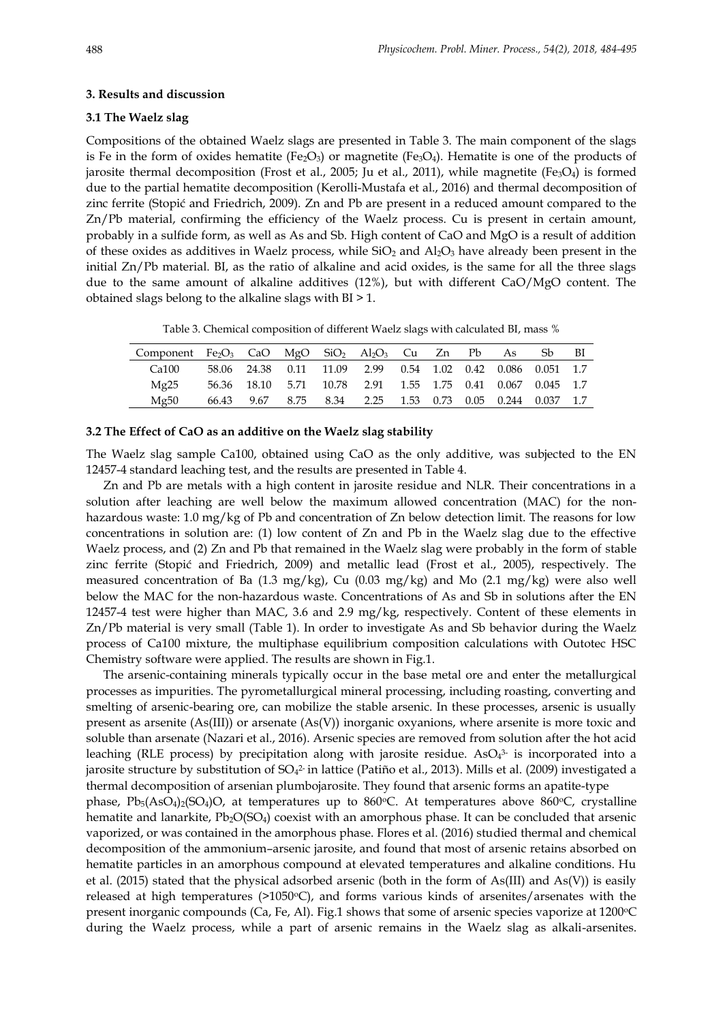#### **3. Results and discussion**

#### **3.1 The Waelz slag**

Compositions of the obtained Waelz slags are presented in Table 3. The main component of the slags is Fe in the form of oxides hematite (Fe<sub>2</sub>O<sub>3</sub>) or magnetite (Fe<sub>3</sub>O<sub>4</sub>). Hematite is one of the products of jarosite thermal decomposition (Frost et al., 2005; Ju et al., 2011), while magnetite (Fe<sub>3</sub>O<sub>4</sub>) is formed due to the partial hematite decomposition (Kerolli-Mustafa et al., 2016) and thermal decomposition of zinc ferrite (Stopić and Friedrich, 2009). Zn and Pb are present in a reduced amount compared to the Zn/Pb material, confirming the efficiency of the Waelz process. Cu is present in certain amount, probably in a sulfide form, as well as As and Sb. High content of CaO and MgO is a result of addition of these oxides as additives in Waelz process, while  $SiO<sub>2</sub>$  and  $Al<sub>2</sub>O<sub>3</sub>$  have already been present in the initial Zn/Pb material. BI, as the ratio of alkaline and acid oxides, is the same for all the three slags due to the same amount of alkaline additives (12%), but with different CaO/MgO content. The obtained slags belong to the alkaline slags with BI > 1.

Table 3. Chemical composition of different Waelz slags with calculated BI, mass %

| Component $Fe_2O_3$ CaO MgO SiO <sub>2</sub> Al <sub>2</sub> O <sub>3</sub> Cu Zn Pb As Sb |  |  |                                                                    |  |  | BI |
|--------------------------------------------------------------------------------------------|--|--|--------------------------------------------------------------------|--|--|----|
| Ca100                                                                                      |  |  | 58.06 24.38 0.11 11.09 2.99 0.54 1.02 0.42 0.086 0.051 1.7         |  |  |    |
| Mg25                                                                                       |  |  | 56.36 18.10 5.71 10.78 2.91 1.55 1.75 0.41 0.067 0.045 1.7         |  |  |    |
| Mg50                                                                                       |  |  | 66.43  9.67  8.75  8.34  2.25  1.53  0.73  0.05  0.244  0.037  1.7 |  |  |    |

### **3.2 The Effect of CaO as an additive on the Waelz slag stability**

The Waelz slag sample Ca100, obtained using CaO as the only additive, was subjected to the EN 12457-4 standard leaching test, and the results are presented in Table 4.

Zn and Pb are metals with a high content in jarosite residue and NLR. Their concentrations in a solution after leaching are well below the maximum allowed concentration (MAC) for the nonhazardous waste: 1.0 mg/kg of Pb and concentration of Zn below detection limit. The reasons for low concentrations in solution are: (1) low content of Zn and Pb in the Waelz slag due to the effective Waelz process, and (2) Zn and Pb that remained in the Waelz slag were probably in the form of stable zinc ferrite (Stopić and Friedrich, 2009) and metallic lead (Frost et al., 2005), respectively. The measured concentration of Ba (1.3 mg/kg), Cu (0.03 mg/kg) and Mo (2.1 mg/kg) were also well below the MAC for the non-hazardous waste. Concentrations of As and Sb in solutions after the EN 12457-4 test were higher than MAC, 3.6 and 2.9 mg/kg, respectively. Content of these elements in Zn/Pb material is very small (Table 1). In order to investigate As and Sb behavior during the Waelz process of Ca100 mixture, the multiphase equilibrium composition calculations with Outotec HSC Chemistry software were applied. The results are shown in Fig.1.

The arsenic-containing minerals typically occur in the base metal ore and enter the metallurgical processes as impurities. The pyrometallurgical mineral processing, including roasting, converting and smelting of arsenic-bearing ore, can mobilize the stable arsenic. In these processes, arsenic is usually present as arsenite (As(III)) or arsenate (As(V)) inorganic oxyanions, where arsenite is more toxic and soluble than arsenate (Nazari et al., 2016). Arsenic species are removed from solution after the hot acid leaching (RLE process) by precipitation along with jarosite residue. As $O_4^3$  is incorporated into a jarosite structure by substitution of SO4<sup>2.</sup> in lattice (Patiño et al., 2013). Mills et al. (2009) investigated a thermal decomposition of arsenian plumbojarosite. They found that arsenic forms an apatite-type phase,  $Pb_5(AsO_4)_2(SO_4)O$ , at temperatures up to 860°C. At temperatures above 860°C, crystalline hematite and lanarkite, Pb<sub>2</sub>O(SO<sub>4</sub>) coexist with an amorphous phase. It can be concluded that arsenic vaporized, or was contained in the amorphous phase. Flores et al. (2016) studied thermal and chemical decomposition of the ammonium–arsenic jarosite, and found that most of arsenic retains absorbed on hematite particles in an amorphous compound at elevated temperatures and alkaline conditions. Hu et al. (2015) stated that the physical adsorbed arsenic (both in the form of As(III) and As(V)) is easily released at high temperatures ( $>1050$ <sup>o</sup>C), and forms various kinds of arsenites/arsenates with the present inorganic compounds (Ca, Fe, Al). Fig.1 shows that some of arsenic species vaporize at  $1200^{\circ}$ C during the Waelz process, while a part of arsenic remains in the Waelz slag as alkali-arsenites.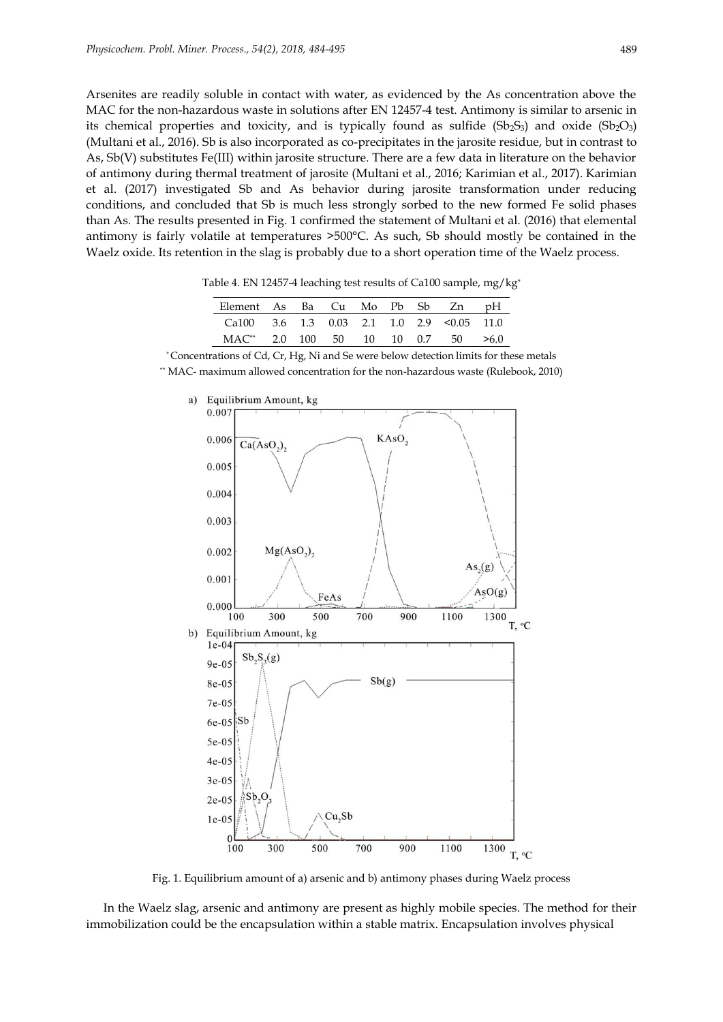Arsenites are readily soluble in contact with water, as evidenced by the As concentration above the MAC for the non-hazardous waste in solutions after EN 12457-4 test. Antimony is similar to arsenic in its chemical properties and toxicity, and is typically found as sulfide  $(Sb_2S_3)$  and oxide  $(Sb_2O_3)$ (Multani et al., 2016). Sb is also incorporated as co-precipitates in the jarosite residue, but in contrast to As, Sb(V) substitutes Fe(III) within jarosite structure. There are a few data in literature on the behavior of antimony during thermal treatment of jarosite (Multani et al., 2016; Karimian et al., 2017). Karimian et al. (2017) investigated Sb and As behavior during jarosite transformation under reducing conditions, and concluded that Sb is much less strongly sorbed to the new formed Fe solid phases than As. The results presented in Fig. 1 confirmed the statement of Multani et al. (2016) that elemental antimony is fairly volatile at temperatures >500°C. As such, Sb should mostly be contained in the Waelz oxide. Its retention in the slag is probably due to a short operation time of the Waelz process.

Table 4. EN 12457-4 leaching test results of Ca100 sample, mg/kg\*

| Element As Ba Cu Mo Pb Sb Zn pH               |  |  |  |  |
|-----------------------------------------------|--|--|--|--|
| Ca100 $3.6$ 1.3 0.03 2.1 1.0 2.9 < 0.05 11.0  |  |  |  |  |
| $MAC^{**}$ 2.0 100 50 10 10 0.7 50 $\geq 6.0$ |  |  |  |  |

*\** Concentrations of Cd, Cr, Hg, Ni and Se were below detection limits for these metals \*\* MAC- maximum allowed concentration for the non-hazardous waste (Rulebook, 2010)



Fig. 1. Equilibrium amount of a) arsenic and b) antimony phases during Waelz process

In the Waelz slag, arsenic and antimony are present as highly mobile species. The method for their immobilization could be the encapsulation within a stable matrix. Encapsulation involves physical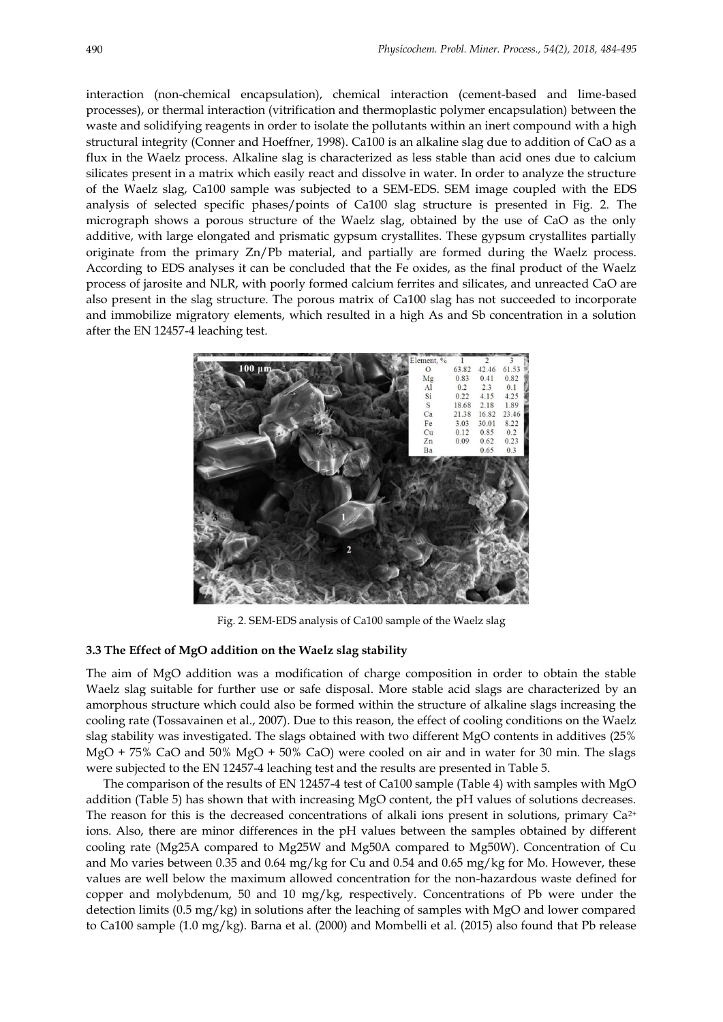interaction (non-chemical encapsulation), chemical interaction (cement-based and lime-based processes), or thermal interaction (vitrification and thermoplastic polymer encapsulation) between the waste and solidifying reagents in order to isolate the pollutants within an inert compound with a high structural integrity (Conner and Hoeffner, 1998). Ca100 is an alkaline slag due to addition of CaO as a flux in the Waelz process. Alkaline slag is characterized as less stable than acid ones due to calcium silicates present in a matrix which easily react and dissolve in water. In order to analyze the structure of the Waelz slag, Ca100 sample was subjected to a SEM-EDS. SEM image coupled with the EDS analysis of selected specific phases/points of Ca100 slag structure is presented in Fig. 2. The micrograph shows a porous structure of the Waelz slag, obtained by the use of CaO as the only additive, with large elongated and prismatic gypsum crystallites. These gypsum crystallites partially originate from the primary Zn/Pb material, and partially are formed during the Waelz process. According to EDS analyses it can be concluded that the Fe oxides, as the final product of the Waelz process of jarosite and NLR, with poorly formed calcium ferrites and silicates, and unreacted CaO are also present in the slag structure. The porous matrix of Ca100 slag has not succeeded to incorporate and immobilize migratory elements, which resulted in a high As and Sb concentration in a solution after the EN 12457-4 leaching test.



Fig. 2. SEM-EDS analysis of Ca100 sample of the Waelz slag

#### **3.3 The Effect of MgO addition on the Waelz slag stability**

The aim of MgO addition was a modification of charge composition in order to obtain the stable Waelz slag suitable for further use or safe disposal. More stable acid slags are characterized by an amorphous structure which could also be formed within the structure of alkaline slags increasing the cooling rate (Tossavainen et al., 2007). Due to this reason, the effect of cooling conditions on the Waelz slag stability was investigated. The slags obtained with two different MgO contents in additives (25% MgO + 75% CaO and 50% MgO + 50% CaO) were cooled on air and in water for 30 min. The slags were subjected to the EN 12457-4 leaching test and the results are presented in Table 5.

The comparison of the results of EN 12457-4 test of Ca100 sample (Table 4) with samples with MgO addition (Table 5) has shown that with increasing MgO content, the pH values of solutions decreases. The reason for this is the decreased concentrations of alkali ions present in solutions, primary  $Ca^{2+}$ ions. Also, there are minor differences in the pH values between the samples obtained by different cooling rate (Mg25A compared to Mg25W and Mg50A compared to Mg50W). Concentration of Cu and Mo varies between 0.35 and 0.64 mg/kg for Cu and 0.54 and 0.65 mg/kg for Mo. However, these values are well below the maximum allowed concentration for the non-hazardous waste defined for copper and molybdenum, 50 and 10 mg/kg, respectively. Concentrations of Pb were under the detection limits (0.5 mg/kg) in solutions after the leaching of samples with MgO and lower compared to Ca100 sample (1.0 mg/kg). Barna et al. (2000) and Mombelli et al. (2015) also found that Pb release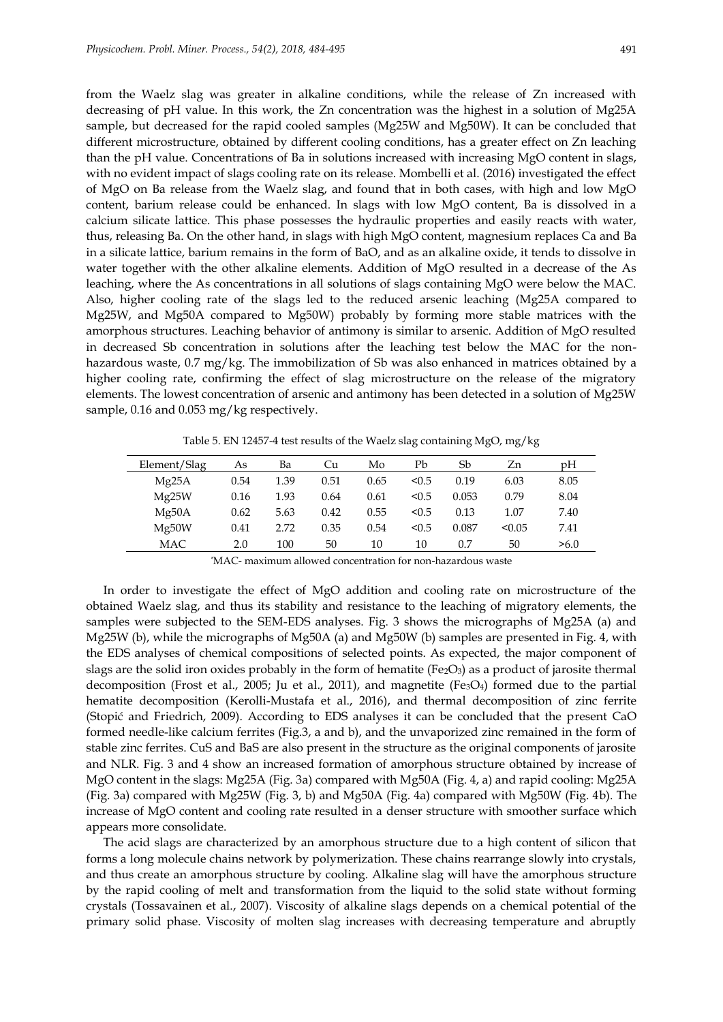from the Waelz slag was greater in alkaline conditions, while the release of Zn increased with decreasing of pH value. In this work, the Zn concentration was the highest in a solution of Mg25A sample, but decreased for the rapid cooled samples (Mg25W and Mg50W). It can be concluded that different microstructure, obtained by different cooling conditions, has a greater effect on Zn leaching than the pH value. Concentrations of Ba in solutions increased with increasing MgO content in slags, with no evident impact of slags cooling rate on its release. Mombelli et al. (2016) investigated the effect of MgO on Ba release from the Waelz slag, and found that in both cases, with high and low MgO content, barium release could be enhanced. In slags with low MgO content, Ba is dissolved in a calcium silicate lattice. This phase possesses the hydraulic properties and easily reacts with water, thus, releasing Ba. On the other hand, in slags with high MgO content, magnesium replaces Ca and Ba in a silicate lattice, barium remains in the form of BaO, and as an alkaline oxide, it tends to dissolve in water together with the other alkaline elements. Addition of MgO resulted in a decrease of the As leaching, where the As concentrations in all solutions of slags containing MgO were below the MAC. Also, higher cooling rate of the slags led to the reduced arsenic leaching (Mg25A compared to Mg25W, and Mg50A compared to Mg50W) probably by forming more stable matrices with the amorphous structures. Leaching behavior of antimony is similar to arsenic. Addition of MgO resulted in decreased Sb concentration in solutions after the leaching test below the MAC for the nonhazardous waste, 0.7 mg/kg. The immobilization of Sb was also enhanced in matrices obtained by a higher cooling rate, confirming the effect of slag microstructure on the release of the migratory elements. The lowest concentration of arsenic and antimony has been detected in a solution of Mg25W sample, 0.16 and 0.053 mg/kg respectively.

Table 5. EN 12457-4 test results of the Waelz slag containing MgO, mg/kg

| Element/Slag | As   | Ba   | Cu   | Mo   | Pb    | Sb    | Zn     | pH   |
|--------------|------|------|------|------|-------|-------|--------|------|
| Mg25A        | 0.54 | 1.39 | 0.51 | 0.65 | < 0.5 | 0.19  | 6.03   | 8.05 |
| Mg25W        | 0.16 | 1.93 | 0.64 | 0.61 | < 0.5 | 0.053 | 0.79   | 8.04 |
| Mg50A        | 0.62 | 5.63 | 0.42 | 0.55 | < 0.5 | 0.13  | 1.07   | 7.40 |
| Mg50W        | 0.41 | 2.72 | 0.35 | 0.54 | < 0.5 | 0.087 | < 0.05 | 7.41 |
| <b>MAC</b>   | 2.0  | 100  | 50   | 10   | 10    | 0.7   | 50     | >6.0 |

*\**MAC- maximum allowed concentration for non-hazardous waste

In order to investigate the effect of MgO addition and cooling rate on microstructure of the obtained Waelz slag, and thus its stability and resistance to the leaching of migratory elements, the samples were subjected to the SEM-EDS analyses. Fig. 3 shows the micrographs of Mg25A (a) and Mg25W (b), while the micrographs of Mg50A (a) and Mg50W (b) samples are presented in Fig. 4, with the EDS analyses of chemical compositions of selected points. As expected, the major component of slags are the solid iron oxides probably in the form of hematite (Fe $_2O_3$ ) as a product of jarosite thermal decomposition (Frost et al., 2005; Ju et al., 2011), and magnetite (Fe<sub>3</sub>O<sub>4</sub>) formed due to the partial hematite decomposition (Kerolli-Mustafa et al., 2016), and thermal decomposition of zinc ferrite (Stopić and Friedrich, 2009). According to EDS analyses it can be concluded that the present CaO formed needle-like calcium ferrites (Fig.3, a and b), and the unvaporized zinc remained in the form of stable zinc ferrites. CuS and BaS are also present in the structure as the original components of jarosite and NLR. Fig. 3 and 4 show an increased formation of amorphous structure obtained by increase of MgO content in the slags: Mg25A (Fig. 3a) compared with Mg50A (Fig. 4, a) and rapid cooling: Mg25A (Fig. 3a) compared with Mg25W (Fig. 3, b) and Mg50A (Fig. 4a) compared with Mg50W (Fig. 4b). The increase of MgO content and cooling rate resulted in a denser structure with smoother surface which appears more consolidate.

The acid slags are characterized by an amorphous structure due to a high content of silicon that forms a long molecule chains network by polymerization. These chains rearrange slowly into crystals, and thus create an amorphous structure by cooling. Alkaline slag will have the amorphous structure by the rapid cooling of melt and transformation from the liquid to the solid state without forming crystals (Tossavainen et al., 2007). Viscosity of alkaline slags depends on a chemical potential of the primary solid phase. Viscosity of molten slag increases with decreasing temperature and abruptly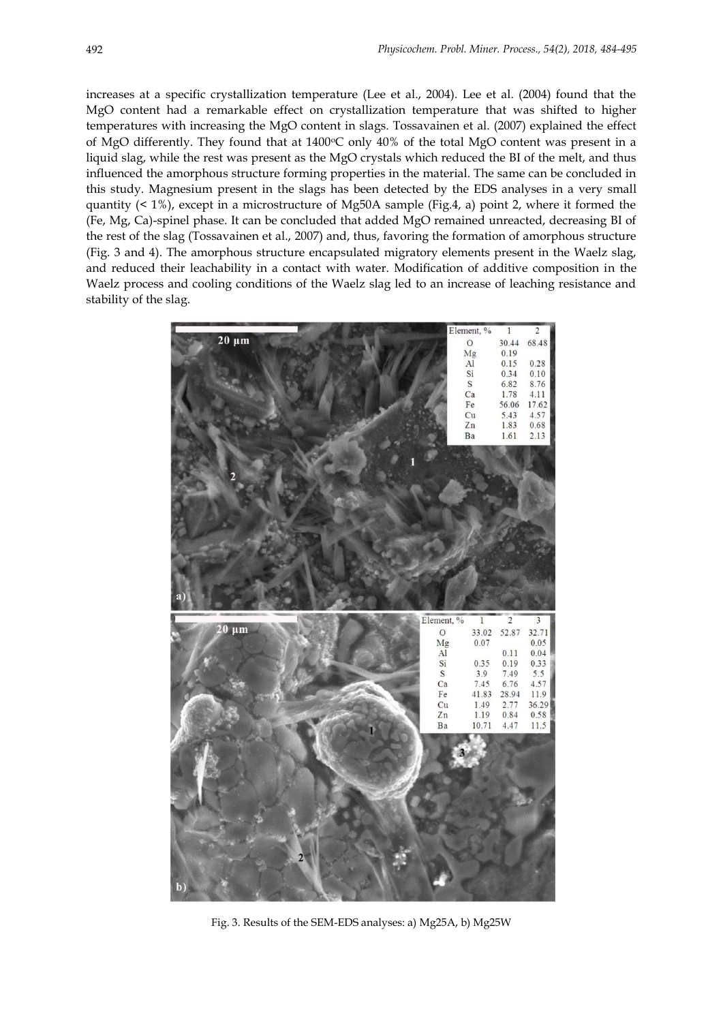increases at a specific crystallization temperature (Lee et al., 2004). Lee et al. (2004) found that the MgO content had a remarkable effect on crystallization temperature that was shifted to higher temperatures with increasing the MgO content in slags. Tossavainen et al. (2007) explained the effect of MgO differently. They found that at  $1400\degree$ C only  $40\%$  of the total MgO content was present in a liquid slag, while the rest was present as the MgO crystals which reduced the BI of the melt, and thus influenced the amorphous structure forming properties in the material. The same can be concluded in this study. Magnesium present in the slags has been detected by the EDS analyses in a very small quantity (< 1%), except in a microstructure of Mg50A sample (Fig.4, a) point 2, where it formed the (Fe, Mg, Ca)-spinel phase. It can be concluded that added MgO remained unreacted, decreasing BI of the rest of the slag (Tossavainen et al., 2007) and, thus, favoring the formation of amorphous structure (Fig. 3 and 4). The amorphous structure encapsulated migratory elements present in the Waelz slag, and reduced their leachability in a contact with water. Modification of additive composition in the Waelz process and cooling conditions of the Waelz slag led to an increase of leaching resistance and stability of the slag.



Fig. 3. Results of the SEM-EDS analyses: a) Mg25A, b) Mg25W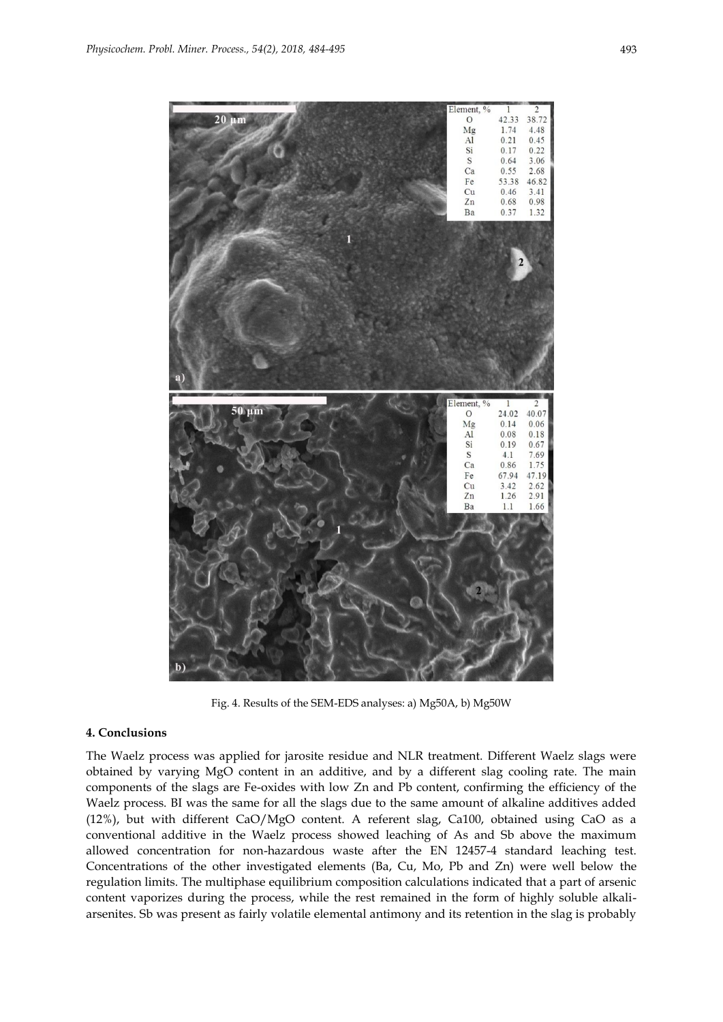

Fig. 4. Results of the SEM-EDS analyses: a) Mg50A, b) Mg50W

#### **4. Conclusions**

The Waelz process was applied for jarosite residue and NLR treatment. Different Waelz slags were obtained by varying MgO content in an additive, and by a different slag cooling rate. The main components of the slags are Fe-oxides with low Zn and Pb content, confirming the efficiency of the Waelz process. BI was the same for all the slags due to the same amount of alkaline additives added (12%), but with different CaO/MgO content. A referent slag, Ca100, obtained using CaO as a conventional additive in the Waelz process showed leaching of As and Sb above the maximum allowed concentration for non-hazardous waste after the EN 12457-4 standard leaching test. Concentrations of the other investigated elements (Ba, Cu, Mo, Pb and Zn) were well below the regulation limits. The multiphase equilibrium composition calculations indicated that a part of arsenic content vaporizes during the process, while the rest remained in the form of highly soluble alkaliarsenites. Sb was present as fairly volatile elemental antimony and its retention in the slag is probably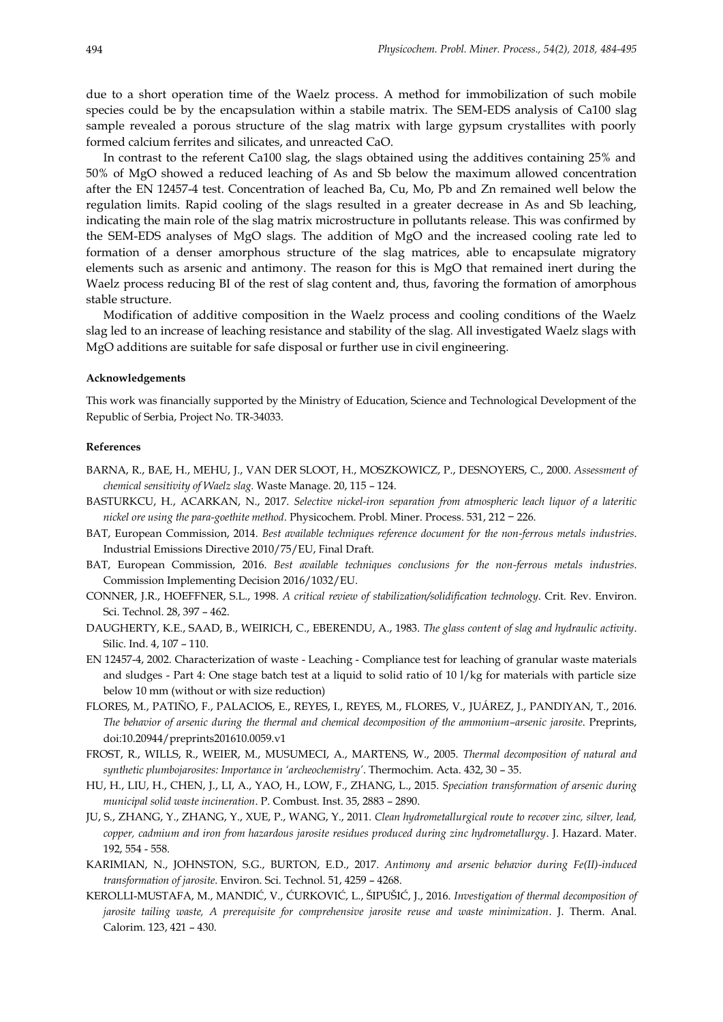due to a short operation time of the Waelz process. A method for immobilization of such mobile species could be by the encapsulation within a stabile matrix. The SEM-EDS analysis of Ca100 slag sample revealed a porous structure of the slag matrix with large gypsum crystallites with poorly formed calcium ferrites and silicates, and unreacted CaO.

In contrast to the referent Ca100 slag, the slags obtained using the additives containing 25% and 50% of MgO showed a reduced leaching of As and Sb below the maximum allowed concentration after the EN 12457-4 test. Concentration of leached Ba, Cu, Mo, Pb and Zn remained well below the regulation limits. Rapid cooling of the slags resulted in a greater decrease in As and Sb leaching, indicating the main role of the slag matrix microstructure in pollutants release. This was confirmed by the SEM-EDS analyses of MgO slags. The addition of MgO and the increased cooling rate led to formation of a denser amorphous structure of the slag matrices, able to encapsulate migratory elements such as arsenic and antimony. The reason for this is MgO that remained inert during the Waelz process reducing BI of the rest of slag content and, thus, favoring the formation of amorphous stable structure.

Modification of additive composition in the Waelz process and cooling conditions of the Waelz slag led to an increase of leaching resistance and stability of the slag. All investigated Waelz slags with MgO additions are suitable for safe disposal or further use in civil engineering.

#### **Acknowledgements**

This work was financially supported by the Ministry of Education, Science and Technological Development of the Republic of Serbia, Project No. TR-34033.

#### **References**

- BARNA, R., BAE, H., MEHU, J., VAN DER SLOOT, H., MOSZKOWICZ, P., DESNOYERS, C., 2000. *Assessment of chemical sensitivity of Waelz slag.* Waste Manage. 20, 115 – 124.
- BASTURKCU, H., ACARKAN, N., 2017. *Selective nickel-iron separation from atmospheric leach liquor of a lateritic nickel ore using the para-goethite method*. Physicochem. Probl. Miner. Process. 531, 212 − 226.
- BAT, European Commission, 2014. *Best available techniques reference document for the non-ferrous metals industries*. Industrial Emissions Directive 2010/75/EU, Final Draft.
- BAT, European Commission, 2016. *Best available techniques conclusions for the non-ferrous metals industries*. Commission Implementing Decision 2016/1032/EU.
- CONNER, J.R., HOEFFNER, S.L., 1998. *A critical review of stabilization/solidification technology*. Crit. Rev. Environ. Sci. Technol. 28, 397 – 462.
- DAUGHERTY, K.E., SAAD, B., WEIRICH, C., EBERENDU, A., 1983. *The glass content of slag and hydraulic activity*. Silic. Ind. 4, 107 – 110.
- EN 12457-4, 2002. Characterization of waste Leaching Compliance test for leaching of granular waste materials and sludges - Part 4: One stage batch test at a liquid to solid ratio of 10 l/kg for materials with particle size below 10 mm (without or with size reduction)
- FLORES, M., PATIÑO, F., PALACIOS, E., REYES, I., REYES, M., FLORES, V., JUÁREZ, J., PANDIYAN, T., 2016. *The behavior of arsenic during the thermal and chemical decomposition of the ammonium–arsenic jarosite*. Preprints, doi:10.20944/preprints201610.0059.v1
- FROST, R., WILLS, R., WEIER, M., MUSUMECI, A., MARTENS, W., 2005. *Thermal decomposition of natural and synthetic plumbojarosites: Importance in 'archeochemistry'*. Thermochim. Acta. 432, 30 – 35.
- HU, H., LIU, H., CHEN, J., LI, A., YAO, H., LOW, F., ZHANG, L., 2015. *Speciation transformation of arsenic during municipal solid waste incineration*. P. Combust. Inst. 35, 2883 – 2890.
- JU, S., ZHANG, Y., ZHANG, Y., XUE, P., WANG, Y., 2011. *Clean hydrometallurgical route to recover zinc, silver, lead, copper, cadmium and iron from hazardous jarosite residues produced during zinc hydrometallurgy*. J. Hazard. Mater. 192, 554 - 558.
- KARIMIAN, N., JOHNSTON, S.G., BURTON, E.D., 2017. *Antimony and arsenic behavior during Fe(II)-induced transformation of jarosite*. Environ. Sci. Technol. 51, 4259 – 4268.
- KEROLLI-MUSTAFA, M., MANDIĆ, V., ĆURKOVIĆ, L., ŠIPUŠIĆ, J., 2016. *Investigation of thermal decomposition of jarosite tailing waste, A prerequisite for comprehensive jarosite reuse and waste minimization*. J. Therm. Anal. Calorim. 123, 421 – 430.